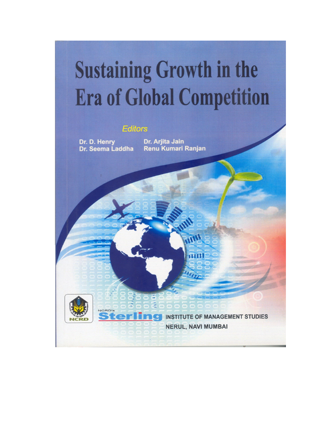# **Sustaining Growth in the Era of Global Competition**

# **Editors**

Dr. D. Henry Dr. Seema Laddha

NCRD's

ter

Dr. Arjita Jain Renu Kumari Ranjan

> **INSTITUTE OF MANAGEMENT STUDIES NERUL, NAVI MUMBAI**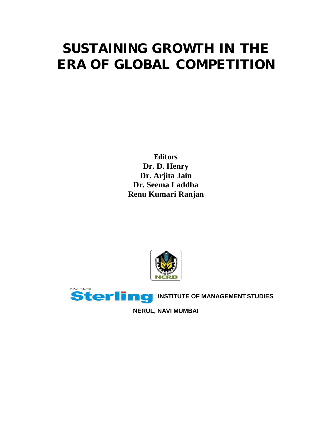# **SUSTAINING GROWTH IN THE ERA OF GLOBAL COMPETITION**

*Editors* **Dr. D. Henry Dr. Arjita Jain Dr. Seema Laddha Renu Kumari Ranjan**





**NERUL, NAVI MUMBAI**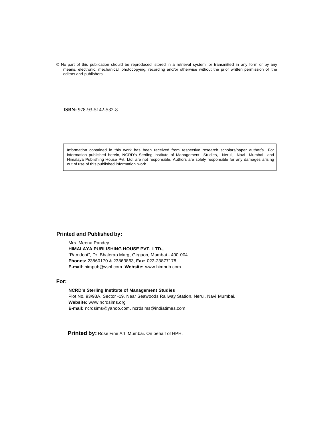**©** No part of this publication should be reproduced, stored in a retrieval system, or transmitted in any form or by any means, electronic, mechanical, photocopying, recording and/or otherwise without the prior written permission of the editors and publishers.

**ISBN:** 978-93-5142-532-8

Information contained in this work has been received from respective research scholars/paper author/s. For information published herein, NCRD's Sterling Institute of Management Studies, Nerul, Navi Mumbai and Himalaya Publishing House Pvt. Ltd. are not responsible. Authors are solely responsible for any damages arising out of use of this published information work.

#### **Printed and Published by:**

Mrs. Meena Pandey **HIMALAYA PUBLISHING HOUSE PVT. LTD.,** "Ramdoot", Dr. Bhalerao Marg, Girgaon, Mumbai - 400 004. **Phones:** 23860170 & 23863863, **Fax:** 022-23877178 **E-mail**: himpub@vsnl.com **Website:** www.himpub.com

#### **For:**

**NCRD's Sterling Institute of Management Studies** Plot No. 93/93A, Sector -19, Near Seawoods Railway Station, Nerul, Navi Mumbai. **Website:** www.ncrdsims.org **E-mail:** ncrdsims@yahoo.com, ncrdsims@indiatimes.com

**Printed by:** Rose Fine Art, Mumbai. On behalf of HPH.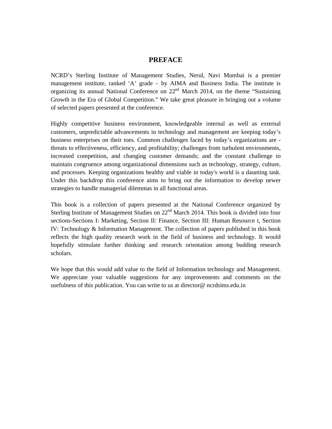### **PREFACE**

NCRD's Sterling Institute of Management Studies, Nerul, Navi Mumbai is a premier management institute, ranked 'A' grade – by AIMA and Business India. The institute is organizing its annual National Conference on 22<sup>nd</sup> March 2014, on the theme "Sustaining Growth in the Era of Global Competition." We take great pleasure in bringing out a volume of selected papers presented at the conference.

Highly competitive business environment, knowledgeable internal as well as external customers, unpredictable advancements in technology and management are keeping today's business enterprises on their toes. Common challenges faced by today's organizations are threats to effectiveness, efficiency, and profitability; challenges from turbulent environments, increased competition, and changing customer demands; and the constant challenge to maintain congruence among organizational dimensions such as technology, strategy, culture, and processes. Keeping organizations healthy and viable in today's world is a daunting task. Under this backdrop this conference aims to bring out the information to develop newer strategies to handle managerial dilemmas in all functional areas.

This book is a collection of papers presented at the National Conference organized by Sterling Institute of Management Studies on  $22<sup>nd</sup>$  March 2014. This book is divided into four sections-Sections I: Marketing, Section II: Finance, Section III: Human Resource t, Section IV: Technology & Information Management. The collection of papers published in this book reflects the high quality research work in the field of business and technology. It would hopefully stimulate further thinking and research orientation among budding research scholars.

We hope that this would add value to the field of Information technology and Management. We appreciate your valuable suggestions for any improvements and comments on the usefulness of this publication. You can write to us at director@ ncrdsims.edu.in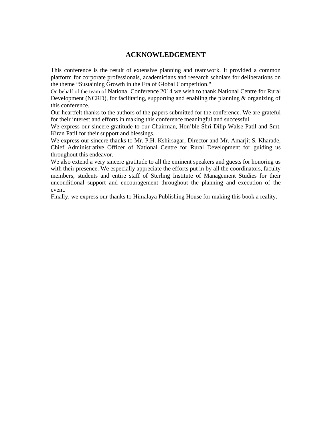# **ACKNOWLEDGEMENT**

This conference is the result of extensive planning and teamwork. It provided a common platform for corporate professionals, academicians and research scholars for deliberations on the theme "Sustaining Growth in the Era of Global Competition."

On behalf of the team of National Conference 2014 we wish to thank National Centre for Rural Development (NCRD), for facilitating, supporting and enabling the planning & organizing of this conference.

Our heartfelt thanks to the authors of the papers submitted for the conference. We are grateful for their interest and efforts in making this conference meaningful and successful.

We express our sincere gratitude to our Chairman, Hon'ble Shri Dilip Walse-Patil and Smt. Kiran Patil for their support and blessings.

We express our sincere thanks to Mr. P.H. Kshirsagar, Director and Mr. Amarjit S. Kharade, Chief Administrative Officer of National Centre for Rural Development for guiding us throughout this endeavor.

We also extend a very sincere gratitude to all the eminent speakers and guests for honoring us with their presence. We especially appreciate the efforts put in by all the coordinators, faculty members, students and entire staff of Sterling Institute of Management Studies for their unconditional support and encouragement throughout the planning and execution of the event.

Finally, we express our thanks to Himalaya Publishing House for making this book a reality.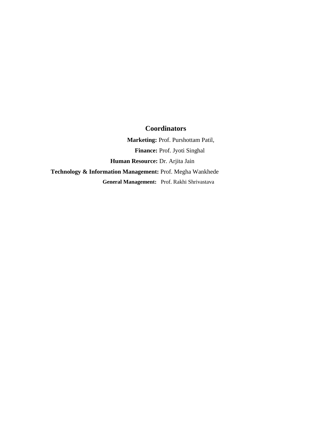## **Coordinators**

 **Marketing:** Prof. Purshottam Patil,  **Finance:** Prof. Jyoti Singhal  **Human Resource:** Dr. Arjita Jain **Technology & Information Management:** Prof. Megha Wankhede  **General Management:** Prof. Rakhi Shrivastava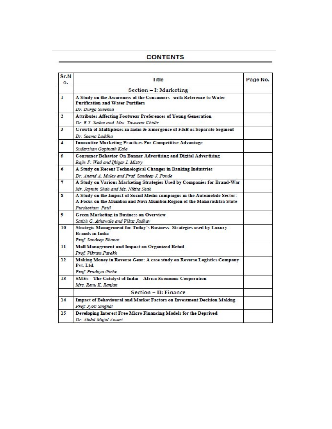# **CONTENTS**

| Sr.N<br>о.   | Title                                                                                                                                                                  | Page No. |
|--------------|------------------------------------------------------------------------------------------------------------------------------------------------------------------------|----------|
|              | Section - I: Marketing                                                                                                                                                 |          |
| ı            | A Study on the Awareness of the Consumers with Reference to Water<br><b>Purification and Water Purifiers</b><br>Dr. Durga Surekha                                      |          |
| $\mathbf{2}$ | Attributes Affecting Footwear Preferences of Young Generation<br>Dr. R.S. Sadan and Mrs. Tasneem Khidir                                                                |          |
| 3            | Growth of Multiplexes in India & Emergence of F&B as Separate Segment<br>Dr. Seema Laddha                                                                              |          |
| 4            | <b>Innovative Marketing Practices For Competitive Advantage</b><br>Sudarshan Gopinath Kale                                                                             |          |
| 5            | <b>Consumer Behavior On Banner Advertising and Digital Advertising</b><br>Rajiv P. Wad and Iftigar I. Mistry                                                           |          |
| б            | A Study on Recent Technological Changes in Banking Industries<br>Dr. Anand A. Muley and Prof. Sandeep J. Ponde                                                         |          |
| 7            | A Study on Various Marketing Strategies Used by Companies for Brand-War<br>Mr. Jaymin Shah and Ms. Nikita Shah                                                         |          |
| 8            | A Study on the Impact of Social Media campaigns in the Automobile Sector:<br>A Focus on the Mumbai and Navi Mumbai Region of the Maharashtra State<br>Purshottam Patil |          |
| ۰            | Green Marketing in Business an Overview<br>Satish G. Athawale and Vikas Jadhav                                                                                         |          |
| 10           | Strategic Management for Today's Business: Strategies used by Luxury<br><b>Brands in India</b><br>Prof. Sandeep Bhanot                                                 |          |
| 11           | Mall Management and Impact on Organized Retail<br>Prof. Vikram Parekh                                                                                                  |          |
| 12           | Making Money in Reverse Gear: A case study on Reverse Logistics Company<br>Pvt. Ltd.<br>Prof. Pradnya Girhe                                                            |          |
| 13           | SMEs - The Catalyst of India - Africa Economic Cooperation<br>Mrs. Renu K. Ranjan                                                                                      |          |
|              | Section - II: Finance                                                                                                                                                  |          |
| 14           | Impact of Behavioural and Market Factors on Investment Decision Making<br>Prof. Jyoti Singhal                                                                          |          |
| 15           | Developing Interest Free Micro Financing Models for the Deprived<br>Dr. Abdul Majid Ansari                                                                             |          |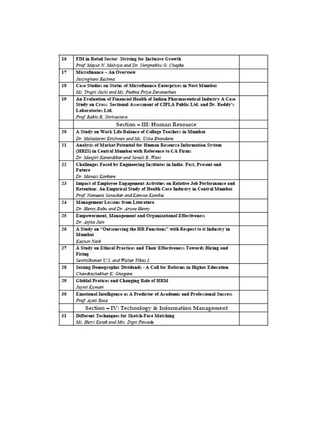| 16 | FDI in Retail Sector: Striving for Inclusive Growth                                                                                                                                                       |  |
|----|-----------------------------------------------------------------------------------------------------------------------------------------------------------------------------------------------------------|--|
|    | Prof. Mayur N. Malviya and Dr. Shriprabhu G. Chapke                                                                                                                                                       |  |
| 17 | Microfinance - An Overview                                                                                                                                                                                |  |
|    | Jaisinghani Reshma                                                                                                                                                                                        |  |
| 18 | Case Studies on Status of Microfinance Enterprises in Navi Mumbai                                                                                                                                         |  |
|    | Ms. Trupti Joshi and Ms. Padma Priya Devanathan                                                                                                                                                           |  |
| 19 | An Evaluation of Financial Health of Indian Pharmaceutical Industry A Case<br>Study on Cross Sectional Assessment of CIPLA Public Ltd. and Dr. Reddy's<br>Laboratories Ltd.<br>Prof. Rakhi R. Shrivastava |  |
|    | Section - III: Human Resource                                                                                                                                                                             |  |
| 20 | A Study on Work Life Balance of College Teachers in Mumbai                                                                                                                                                |  |
|    | Dr. Mahalaxmi Krishnan and Ms. Usha Bhandare                                                                                                                                                              |  |
| 21 | Analysis of Market Potential for Human Resource Information System<br>(HRIS) in Central Mumbai with Reference to CA Firms<br>Dr. Manjiri Karandikar and Sonali R. Wani                                    |  |
| 22 | Challenges Faced by Engineering Institutes in India: Past, Present and<br>Future<br>Dr. Manasi Karkare                                                                                                    |  |
| 23 | Impact of Employee Engagement Activities on Relative Job Performance and<br>Retention: An Empirical Study of Health Care Industry in Central Mumbai<br>Prof. Nameeta Sonaskar and Karuna Kamble           |  |
| 24 | <b>Management Lessons from Literature</b>                                                                                                                                                                 |  |
|    | Dr. Henry Babu and Dr. Aruna Henry                                                                                                                                                                        |  |
| 25 | Empowerment, Management and Organizational Effectiveness<br>Dr. Arjita Jain                                                                                                                               |  |
| 26 | A Study on "Outsourcing the HR Functions" with Respect to it Industry in<br>Mumbai<br>Kasturi Naik                                                                                                        |  |
| 27 | A Study on Ethical Practices and Their Effectiveness Towards Hiring and<br>Firing<br>Senthilkumar U.S. and Walter Vikas I.                                                                                |  |
| 28 | Seizing Demographic Dividends - A Call for Reforms in Higher Education<br>Chandrashekhar K. Ghogare                                                                                                       |  |
| 29 | Globlal Pratices and Changing Role of HRM<br>Jaynti Kumari                                                                                                                                                |  |
| 30 | Emotional Intelligence as A Predictor of Academic and Professional Success<br>Prof. Ayati Bose                                                                                                            |  |
|    | Section - IV: Technology & Information Management                                                                                                                                                         |  |
|    |                                                                                                                                                                                                           |  |